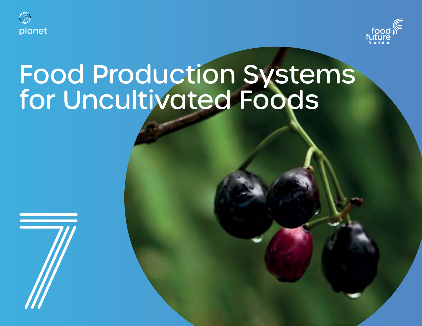



# Food Production Systems for Uncultivated Foods

**Food Vision 2030 145**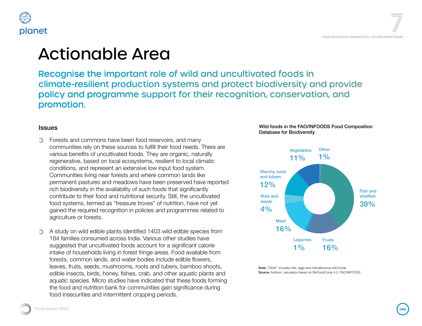### tionable Area

bgnise the important role of wild and uncultivated foods in ate-resilient production systems and protect biodiversity and provide  $\nu$  and programme support for their recognition, conservation, and hotion.

ests and commons have been food reservoirs, and many nmunities rely on these sources to fulfill their food needs. There are ous benefits of uncultivated foods. They are organic, naturally enerative, based on local ecosystems, resilient to local climatic ditions, and represent an extensive low input food system. mmunities living near forests and where common lands like manent pastures and meadows have been preserved have reported biodiversity in the availability of such foods that significantly tribute to their food and nutritional security. Still, the uncultivated d systems, termed as "treasure troves" of nutrition, have not yet hed the required recognition in policies and programmes related to iculture or forests.

tudy on wild edible plants identified 1403 wild edible species from I families consumed across India. Various other studies have gested that uncultivated foods account for a significant calorie ke of households living in forest fringe areas. Food available from ests, common lands, and water bodies include edible flowers, les, fruits, seeds, mushrooms, roots and tubers, bamboo shoots, ble insects, birds, honey, fishes, crab, and other aquatic plants and atic species. Micro studies have indicated that these foods forming food and nutrition bank for communities gain significance during d insecurities and intermittent cropping periods.





Note: "Other'' includes milk, eggs and miscellaneous wild foods. Source: Authors' calculation based on BioFoodComp 4.0, FAO/INFOODS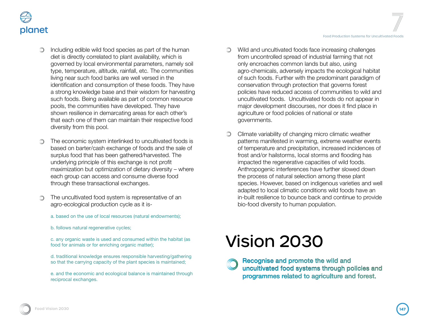

- Including edible wild food species as part of the human diet is directly correlated to plant availability, which is governed by local environmental parameters, namely soil type, temperature, altitude, rainfall, etc. The communities living near such food banks are well versed in the identification and consumption of these foods. They have a strong knowledge base and their wisdom for harvesting such foods. Being available as part of common resource pools, the communities have developed. They have shown resilience in demarcating areas for each other's that each one of them can maintain their respective food diversity from this pool.
- The economic system interlinked to uncultivated foods is  $\circledcirc$ based on barter/cash exchange of foods and the sale of surplus food that has been gathered/harvested. The underlying principle of this exchange is not profit maximization but optimization of dietary diversity – where each group can access and consume diverse food through these transactional exchanges.
- The uncultivated food system is representative of an agro-ecological production cycle as it is
	- a. based on the use of local resources (natural endowments);
	- b. follows natural regenerative cycles;

c. any organic waste is used and consumed within the habitat (as food for animals or for enriching organic matter);

d. traditional knowledge ensures responsible harvesting/gathering so that the carrying capacity of the plant species is maintained;

e. and the economic and ecological balance is maintained through reciprocal exchanges.

- Wild and uncultivated foods face increasing challenges from uncontrolled spread of industrial farming that not only encroaches common lands but also, using agro-chemicals, adversely impacts the ecological habitat of such foods. Further with the predominant paradigm of conservation through protection that governs forest policies have reduced access of communities to wild and uncultivated foods. Uncultivated foods do not appear in major development discourses, nor does it find place in agriculture or food policies of national or state governments.
- $\circledcirc$ Climate variability of changing micro climatic weather patterns manifested in warming, extreme weather events of temperature and precipitation, increased incidences of frost and/or hailstorms, local storms and flooding has impacted the regenerative capacities of wild foods. Anthropogenic interferences have further slowed down the process of natural selection among these plant species. However, based on indigenous varieties and well adapted to local climatic conditions wild foods have an in-built resilience to bounce back and continue to provide bio-food diversity to human population.

## Vision 2030

Recognise and promote the wild and uncultivated food systems through policies and programmes related to agriculture and forest.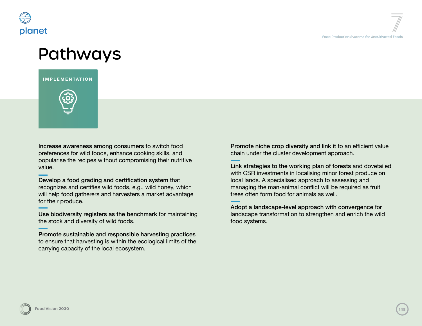





Increase awareness among consumers to switch food preferences for wild foods, enhance cooking skills, and popularise the recipes without compromising their nutritive value.

Develop a food grading and certification system that recognizes and certifies wild foods, e.g., wild honey, which will help food gatherers and harvesters a market advantage for their produce.

Use biodiversity registers as the benchmark for maintaining the stock and diversity of wild foods.

Promote sustainable and responsible harvesting practices to ensure that harvesting is within the ecological limits of the carrying capacity of the local ecosystem.

Promote niche crop diversity and link it to an efficient value chain under the cluster development approach.

**3**Pathways Link strategies to the working plan of forests and dovetailed with CSR investments in localising minor forest produce on local lands. A specialised approach to assessing and managing the man-animal conflict will be required as fruit trees often form food for animals as well.

Adopt a landscape-level approach with convergence for landscape transformation to strengthen and enrich the wild food systems.